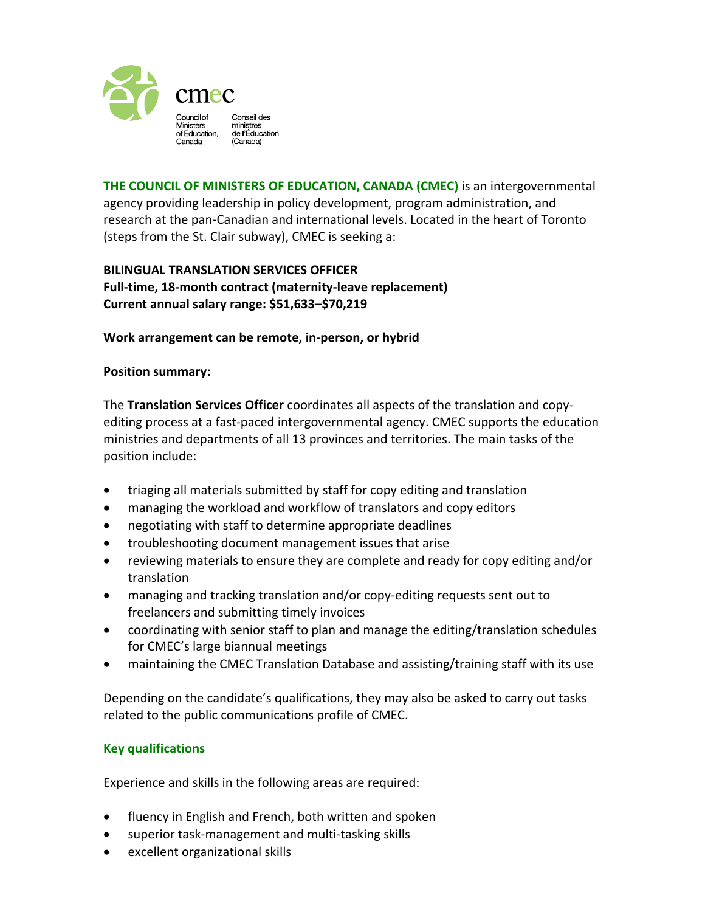

**THE COUNCIL OF MINISTERS OF EDUCATION, CANADA (CMEC)** is an intergovernmental agency providing leadership in policy development, program administration, and research at the pan-Canadian and international levels. Located in the heart of Toronto (steps from the St. Clair subway), CMEC is seeking a:

## **BILINGUAL TRANSLATION SERVICES OFFICER Full-time, 18-month contract (maternity-leave replacement) Current annual salary range: \$51,633–\$70,219**

## **Work arrangement can be remote, in-person, or hybrid**

## **Position summary:**

The **Translation Services Officer** coordinates all aspects of the translation and copyediting process at a fast-paced intergovernmental agency. CMEC supports the education ministries and departments of all 13 provinces and territories. The main tasks of the position include:

- triaging all materials submitted by staff for copy editing and translation
- managing the workload and workflow of translators and copy editors
- negotiating with staff to determine appropriate deadlines
- troubleshooting document management issues that arise
- reviewing materials to ensure they are complete and ready for copy editing and/or translation
- managing and tracking translation and/or copy-editing requests sent out to freelancers and submitting timely invoices
- coordinating with senior staff to plan and manage the editing/translation schedules for CMEC's large biannual meetings
- maintaining the CMEC Translation Database and assisting/training staff with its use

Depending on the candidate's qualifications, they may also be asked to carry out tasks related to the public communications profile of CMEC.

## **Key qualifications**

Experience and skills in the following areas are required:

- fluency in English and French, both written and spoken
- superior task-management and multi-tasking skills
- excellent organizational skills